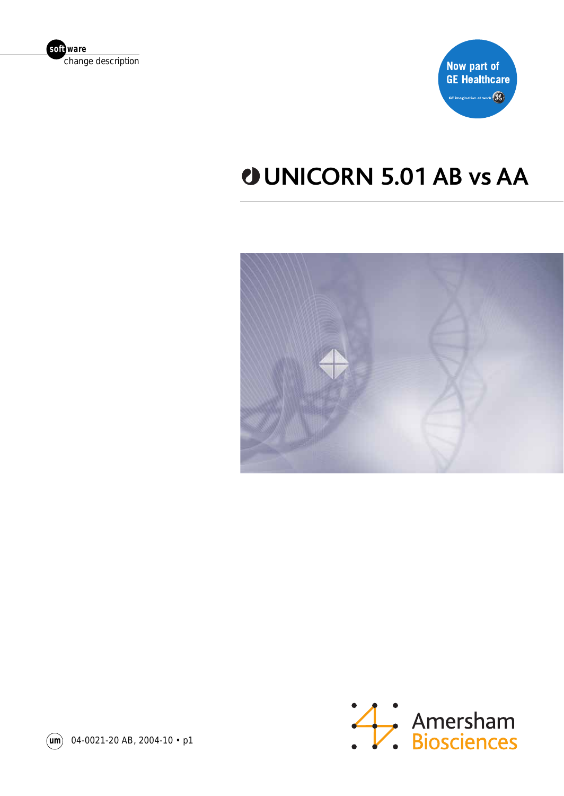



## **UNICORN 5.01 AB vs AA**





**um** 04-0021-20 AB, 2004-10 • p1